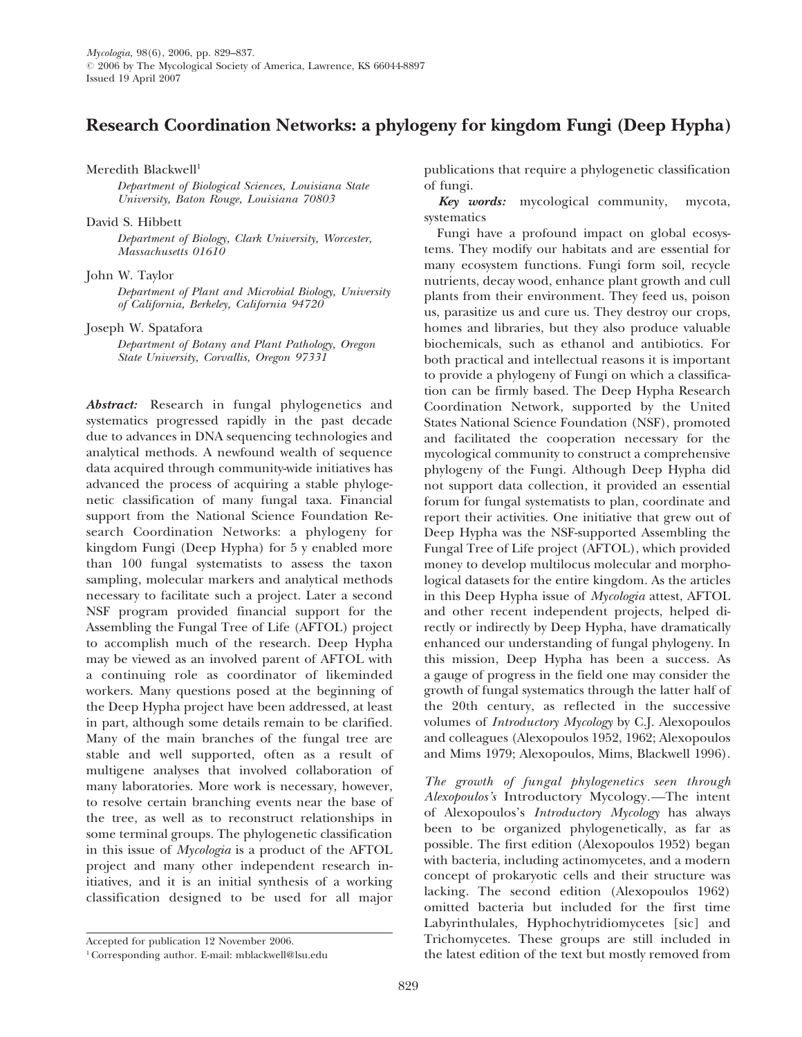# Research Coordination Networks: a phylogeny for kingdom Fungi (Deep Hypha)

Meredith Blackwell<sup>1</sup>

Department of Biological Sciences, Louisiana State University, Baton Rouge, Louisiana 70803

# David S. Hibbett

Department of Biology, Clark University, Worcester, Massachusetts 01610

## John W. Taylor

Department of Plant and Microbial Biology, University of California, Berkeley, California 94720

Joseph W. Spatafora

Department of Botany and Plant Pathology, Oregon State University, Corvallis, Oregon 97331

Abstract: Research in fungal phylogenetics and systematics progressed rapidly in the past decade due to advances in DNA sequencing technologies and analytical methods. A newfound wealth of sequence data acquired through community-wide initiatives has advanced the process of acquiring a stable phylogenetic classification of many fungal taxa. Financial support from the National Science Foundation Research Coordination Networks: a phylogeny for kingdom Fungi (Deep Hypha) for 5 y enabled more than 100 fungal systematists to assess the taxon sampling, molecular markers and analytical methods necessary to facilitate such a project. Later a second NSF program provided financial support for the Assembling the Fungal Tree of Life (AFTOL) project to accomplish much of the research. Deep Hypha may be viewed as an involved parent of AFTOL with a continuing role as coordinator of likeminded workers. Many questions posed at the beginning of the Deep Hypha project have been addressed, at least in part, although some details remain to be clarified. Many of the main branches of the fungal tree are stable and well supported, often as a result of multigene analyses that involved collaboration of many laboratories. More work is necessary, however, to resolve certain branching events near the base of the tree, as well as to reconstruct relationships in some terminal groups. The phylogenetic classification in this issue of Mycologia is a product of the AFTOL project and many other independent research initiatives, and it is an initial synthesis of a working classification designed to be used for all major

publications that require a phylogenetic classification of fungi.

Key words: mycological community, mycota, systematics

Fungi have a profound impact on global ecosystems. They modify our habitats and are essential for many ecosystem functions. Fungi form soil, recycle nutrients, decay wood, enhance plant growth and cull plants from their environment. They feed us, poison us, parasitize us and cure us. They destroy our crops, homes and libraries, but they also produce valuable biochemicals, such as ethanol and antibiotics. For both practical and intellectual reasons it is important to provide a phylogeny of Fungi on which a classification can be firmly based. The Deep Hypha Research Coordination Network, supported by the United States National Science Foundation (NSF), promoted and facilitated the cooperation necessary for the mycological community to construct a comprehensive phylogeny of the Fungi. Although Deep Hypha did not support data collection, it provided an essential forum for fungal systematists to plan, coordinate and report their activities. One initiative that grew out of Deep Hypha was the NSF-supported Assembling the Fungal Tree of Life project (AFTOL), which provided money to develop multilocus molecular and morphological datasets for the entire kingdom. As the articles in this Deep Hypha issue of Mycologia attest, AFTOL and other recent independent projects, helped directly or indirectly by Deep Hypha, have dramatically enhanced our understanding of fungal phylogeny. In this mission, Deep Hypha has been a success. As a gauge of progress in the field one may consider the growth of fungal systematics through the latter half of the 20th century, as reflected in the successive volumes of Introductory Mycology by C.J. Alexopoulos and colleagues (Alexopoulos 1952, 1962; Alexopoulos and Mims 1979; Alexopoulos, Mims, Blackwell 1996).

The growth of fungal phylogenetics seen through Alexopoulos's Introductory Mycology.—The intent of Alexopoulos's Introductory Mycology has always been to be organized phylogenetically, as far as possible. The first edition (Alexopoulos 1952) began with bacteria, including actinomycetes, and a modern concept of prokaryotic cells and their structure was lacking. The second edition (Alexopoulos 1962) omitted bacteria but included for the first time Labyrinthulales, Hyphochytridiomycetes [sic] and Trichomycetes. These groups are still included in the latest edition of the text but mostly removed from

Accepted for publication 12 November 2006.

<sup>&</sup>lt;sup>1</sup> Corresponding author. E-mail: mblackwell@lsu.edu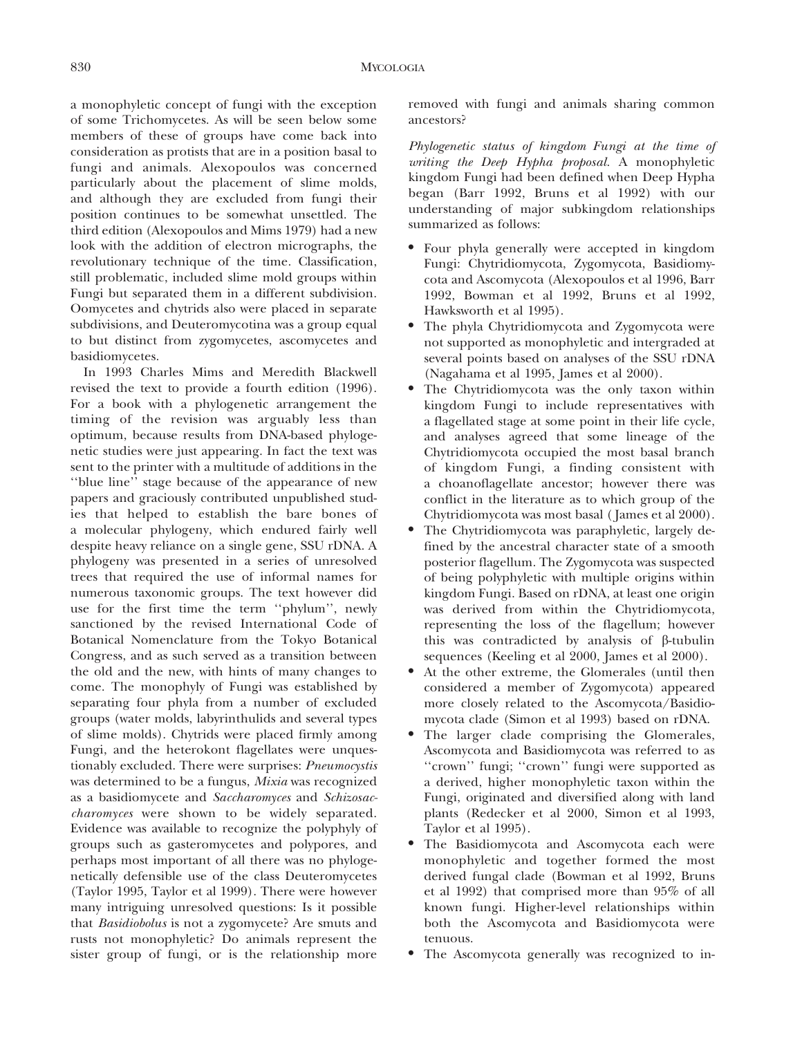a monophyletic concept of fungi with the exception of some Trichomycetes. As will be seen below some members of these of groups have come back into consideration as protists that are in a position basal to fungi and animals. Alexopoulos was concerned particularly about the placement of slime molds, and although they are excluded from fungi their position continues to be somewhat unsettled. The third edition (Alexopoulos and Mims 1979) had a new look with the addition of electron micrographs, the revolutionary technique of the time. Classification, still problematic, included slime mold groups within Fungi but separated them in a different subdivision. Oomycetes and chytrids also were placed in separate subdivisions, and Deuteromycotina was a group equal to but distinct from zygomycetes, ascomycetes and basidiomycetes.

In 1993 Charles Mims and Meredith Blackwell revised the text to provide a fourth edition (1996). For a book with a phylogenetic arrangement the timing of the revision was arguably less than optimum, because results from DNA-based phylogenetic studies were just appearing. In fact the text was sent to the printer with a multitude of additions in the ''blue line'' stage because of the appearance of new papers and graciously contributed unpublished studies that helped to establish the bare bones of a molecular phylogeny, which endured fairly well despite heavy reliance on a single gene, SSU rDNA. A phylogeny was presented in a series of unresolved trees that required the use of informal names for numerous taxonomic groups. The text however did use for the first time the term ''phylum'', newly sanctioned by the revised International Code of Botanical Nomenclature from the Tokyo Botanical Congress, and as such served as a transition between the old and the new, with hints of many changes to come. The monophyly of Fungi was established by separating four phyla from a number of excluded groups (water molds, labyrinthulids and several types of slime molds). Chytrids were placed firmly among Fungi, and the heterokont flagellates were unquestionably excluded. There were surprises: Pneumocystis was determined to be a fungus, Mixia was recognized as a basidiomycete and Saccharomyces and Schizosaccharomyces were shown to be widely separated. Evidence was available to recognize the polyphyly of groups such as gasteromycetes and polypores, and perhaps most important of all there was no phylogenetically defensible use of the class Deuteromycetes (Taylor 1995, Taylor et al 1999). There were however many intriguing unresolved questions: Is it possible that Basidiobolus is not a zygomycete? Are smuts and rusts not monophyletic? Do animals represent the sister group of fungi, or is the relationship more

removed with fungi and animals sharing common ancestors?

Phylogenetic status of kingdom Fungi at the time of writing the Deep Hypha proposal. A monophyletic kingdom Fungi had been defined when Deep Hypha began (Barr 1992, Bruns et al 1992) with our understanding of major subkingdom relationships summarized as follows:

- Four phyla generally were accepted in kingdom Fungi: Chytridiomycota, Zygomycota, Basidiomycota and Ascomycota (Alexopoulos et al 1996, Barr 1992, Bowman et al 1992, Bruns et al 1992, Hawksworth et al 1995).
- The phyla Chytridiomycota and Zygomycota were not supported as monophyletic and intergraded at several points based on analyses of the SSU rDNA (Nagahama et al 1995, James et al 2000).
- The Chytridiomycota was the only taxon within kingdom Fungi to include representatives with a flagellated stage at some point in their life cycle, and analyses agreed that some lineage of the Chytridiomycota occupied the most basal branch of kingdom Fungi, a finding consistent with a choanoflagellate ancestor; however there was conflict in the literature as to which group of the Chytridiomycota was most basal ( James et al 2000).
- The Chytridiomycota was paraphyletic, largely defined by the ancestral character state of a smooth posterior flagellum. The Zygomycota was suspected of being polyphyletic with multiple origins within kingdom Fungi. Based on rDNA, at least one origin was derived from within the Chytridiomycota, representing the loss of the flagellum; however this was contradicted by analysis of  $\beta$ -tubulin sequences (Keeling et al 2000, James et al 2000).
- At the other extreme, the Glomerales (until then considered a member of Zygomycota) appeared more closely related to the Ascomycota/Basidiomycota clade (Simon et al 1993) based on rDNA.
- The larger clade comprising the Glomerales, Ascomycota and Basidiomycota was referred to as ''crown'' fungi; ''crown'' fungi were supported as a derived, higher monophyletic taxon within the Fungi, originated and diversified along with land plants (Redecker et al 2000, Simon et al 1993, Taylor et al 1995).
- The Basidiomycota and Ascomycota each were monophyletic and together formed the most derived fungal clade (Bowman et al 1992, Bruns et al 1992) that comprised more than 95% of all known fungi. Higher-level relationships within both the Ascomycota and Basidiomycota were tenuous.
- The Ascomycota generally was recognized to in-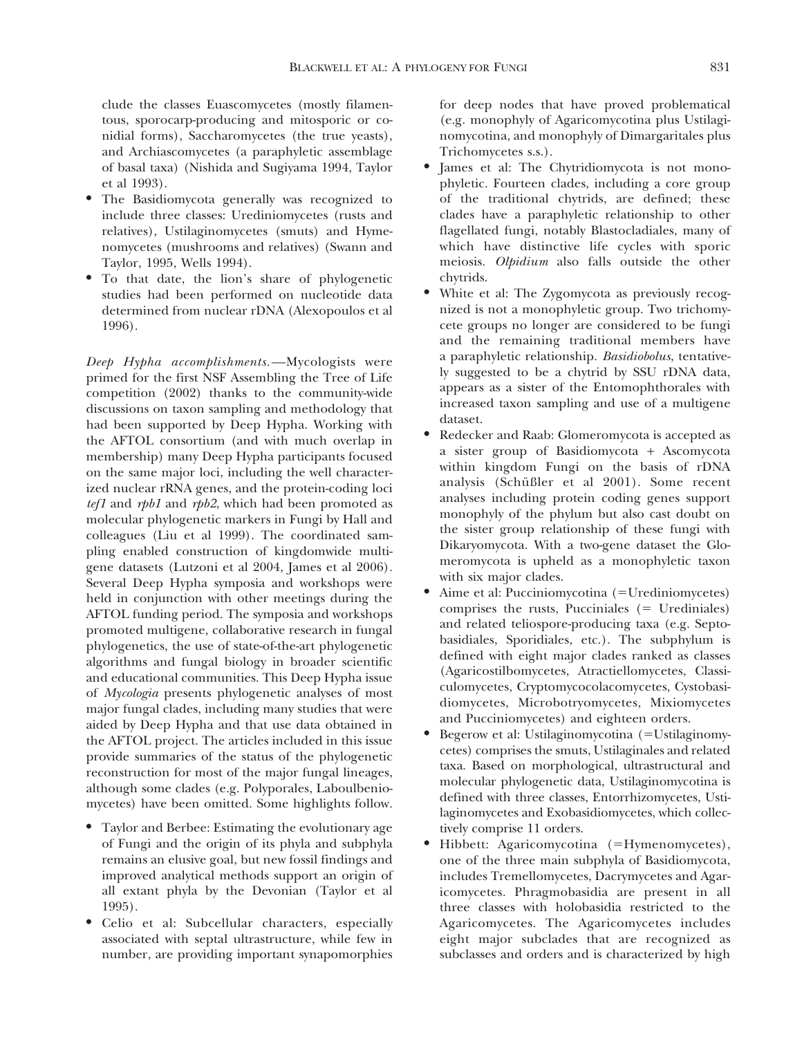clude the classes Euascomycetes (mostly filamentous, sporocarp-producing and mitosporic or conidial forms), Saccharomycetes (the true yeasts), and Archiascomycetes (a paraphyletic assemblage of basal taxa) (Nishida and Sugiyama 1994, Taylor et al 1993).

- The Basidiomycota generally was recognized to include three classes: Urediniomycetes (rusts and relatives), Ustilaginomycetes (smuts) and Hymenomycetes (mushrooms and relatives) (Swann and Taylor, 1995, Wells 1994).
- To that date, the lion's share of phylogenetic studies had been performed on nucleotide data determined from nuclear rDNA (Alexopoulos et al 1996).

Deep Hypha accomplishments.—Mycologists were primed for the first NSF Assembling the Tree of Life competition (2002) thanks to the community-wide discussions on taxon sampling and methodology that had been supported by Deep Hypha. Working with the AFTOL consortium (and with much overlap in membership) many Deep Hypha participants focused on the same major loci, including the well characterized nuclear rRNA genes, and the protein-coding loci  $tef1$  and  $rbb1$  and  $rbb2$ , which had been promoted as molecular phylogenetic markers in Fungi by Hall and colleagues (Liu et al 1999). The coordinated sampling enabled construction of kingdomwide multigene datasets (Lutzoni et al 2004, James et al 2006). Several Deep Hypha symposia and workshops were held in conjunction with other meetings during the AFTOL funding period. The symposia and workshops promoted multigene, collaborative research in fungal phylogenetics, the use of state-of-the-art phylogenetic algorithms and fungal biology in broader scientific and educational communities. This Deep Hypha issue of Mycologia presents phylogenetic analyses of most major fungal clades, including many studies that were aided by Deep Hypha and that use data obtained in the AFTOL project. The articles included in this issue provide summaries of the status of the phylogenetic reconstruction for most of the major fungal lineages, although some clades (e.g. Polyporales, Laboulbeniomycetes) have been omitted. Some highlights follow.

- Taylor and Berbee: Estimating the evolutionary age of Fungi and the origin of its phyla and subphyla remains an elusive goal, but new fossil findings and improved analytical methods support an origin of all extant phyla by the Devonian (Taylor et al 1995).
- $\bullet$  Celio et al: Subcellular characters, especially associated with septal ultrastructure, while few in number, are providing important synapomorphies

for deep nodes that have proved problematical (e.g. monophyly of Agaricomycotina plus Ustilaginomycotina, and monophyly of Dimargaritales plus Trichomycetes s.s.).

- James et al: The Chytridiomycota is not monophyletic. Fourteen clades, including a core group of the traditional chytrids, are defined; these clades have a paraphyletic relationship to other flagellated fungi, notably Blastocladiales, many of which have distinctive life cycles with sporic meiosis. Olpidium also falls outside the other chytrids.
- White et al: The Zygomycota as previously recognized is not a monophyletic group. Two trichomycete groups no longer are considered to be fungi and the remaining traditional members have a paraphyletic relationship. Basidiobolus, tentatively suggested to be a chytrid by SSU rDNA data, appears as a sister of the Entomophthorales with increased taxon sampling and use of a multigene dataset.
- Redecker and Raab: Glomeromycota is accepted as a sister group of Basidiomycota + Ascomycota within kingdom Fungi on the basis of rDNA analysis (Schüßler et al 2001). Some recent analyses including protein coding genes support monophyly of the phylum but also cast doubt on the sister group relationship of these fungi with Dikaryomycota. With a two-gene dataset the Glomeromycota is upheld as a monophyletic taxon with six major clades.
- Aime et al: Pucciniomycotina (=Urediniomycetes) comprises the rusts, Pucciniales  $(=$  Urediniales) and related teliospore-producing taxa (e.g. Septobasidiales, Sporidiales, etc.). The subphylum is defined with eight major clades ranked as classes (Agaricostilbomycetes, Atractiellomycetes, Classiculomycetes, Cryptomycocolacomycetes, Cystobasidiomycetes, Microbotryomycetes, Mixiomycetes and Pucciniomycetes) and eighteen orders.
- Begerow et al: Ustilaginomycotina (=Ustilaginomycetes) comprises the smuts, Ustilaginales and related taxa. Based on morphological, ultrastructural and molecular phylogenetic data, Ustilaginomycotina is defined with three classes, Entorrhizomycetes, Ustilaginomycetes and Exobasidiomycetes, which collectively comprise 11 orders.
- Hibbett: Agaricomycotina (=Hymenomycetes), one of the three main subphyla of Basidiomycota, includes Tremellomycetes, Dacrymycetes and Agaricomycetes. Phragmobasidia are present in all three classes with holobasidia restricted to the Agaricomycetes. The Agaricomycetes includes eight major subclades that are recognized as subclasses and orders and is characterized by high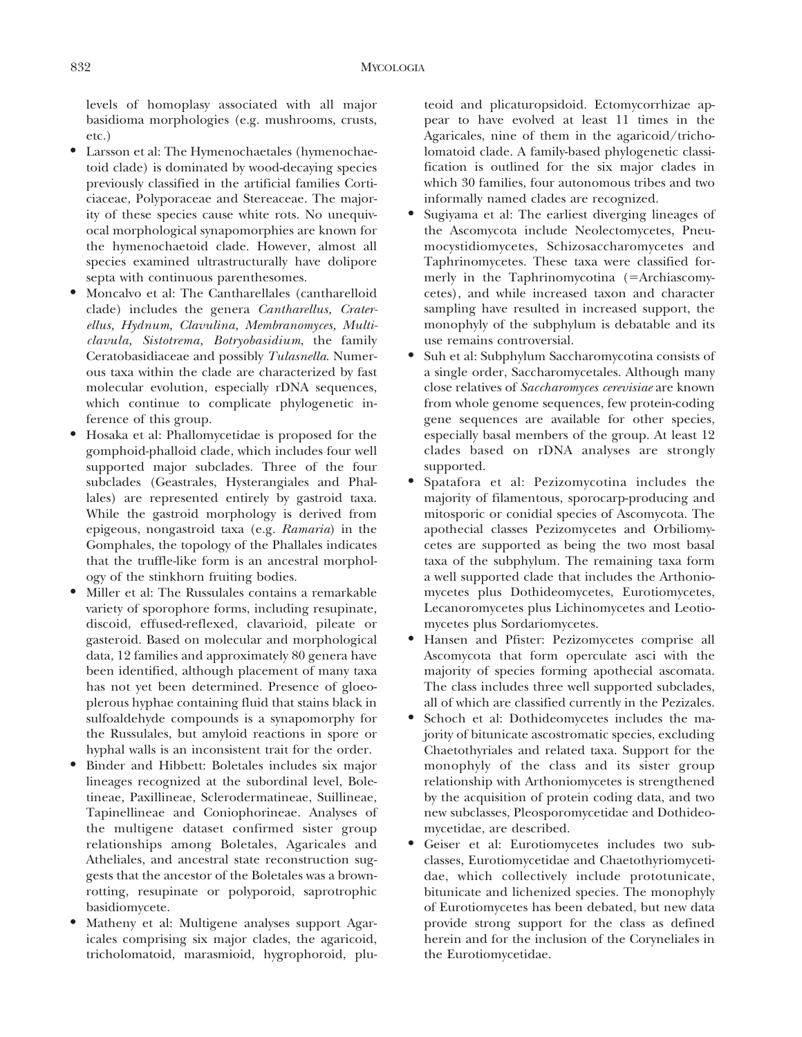levels of homoplasy associated with all major basidioma morphologies (e.g. mushrooms, crusts, etc.)

- Larsson et al: The Hymenochaetales (hymenochaetoid clade) is dominated by wood-decaying species previously classified in the artificial families Corticiaceae, Polyporaceae and Stereaceae. The majority of these species cause white rots. No unequivocal morphological synapomorphies are known for the hymenochaetoid clade. However, almost all species examined ultrastructurally have dolipore septa with continuous parenthesomes.
- Moncalvo et al: The Cantharellales (cantharelloid clade) includes the genera Cantharellus, Craterellus, Hydnum, Clavulina, Membranomyces, Multiclavula, Sistotrema, Botryobasidium, the family Ceratobasidiaceae and possibly Tulasnella. Numerous taxa within the clade are characterized by fast molecular evolution, especially rDNA sequences, which continue to complicate phylogenetic inference of this group.
- Hosaka et al: Phallomycetidae is proposed for the gomphoid-phalloid clade, which includes four well supported major subclades. Three of the four subclades (Geastrales, Hysterangiales and Phallales) are represented entirely by gastroid taxa. While the gastroid morphology is derived from epigeous, nongastroid taxa (e.g. Ramaria) in the Gomphales, the topology of the Phallales indicates that the truffle-like form is an ancestral morphology of the stinkhorn fruiting bodies.
- Miller et al: The Russulales contains a remarkable variety of sporophore forms, including resupinate, discoid, effused-reflexed, clavarioid, pileate or gasteroid. Based on molecular and morphological data, 12 families and approximately 80 genera have been identified, although placement of many taxa has not yet been determined. Presence of gloeoplerous hyphae containing fluid that stains black in sulfoaldehyde compounds is a synapomorphy for the Russulales, but amyloid reactions in spore or hyphal walls is an inconsistent trait for the order.
- Binder and Hibbett: Boletales includes six major lineages recognized at the subordinal level, Boletineae, Paxillineae, Sclerodermatineae, Suillineae, Tapinellineae and Coniophorineae. Analyses of the multigene dataset confirmed sister group relationships among Boletales, Agaricales and Atheliales, and ancestral state reconstruction suggests that the ancestor of the Boletales was a brownrotting, resupinate or polyporoid, saprotrophic basidiomycete.
- Matheny et al: Multigene analyses support Agaricales comprising six major clades, the agaricoid, tricholomatoid, marasmioid, hygrophoroid, plu-

teoid and plicaturopsidoid. Ectomycorrhizae appear to have evolved at least 11 times in the Agaricales, nine of them in the agaricoid/tricholomatoid clade. A family-based phylogenetic classification is outlined for the six major clades in which 30 families, four autonomous tribes and two informally named clades are recognized.

- Sugiyama et al: The earliest diverging lineages of the Ascomycota include Neolectomycetes, Pneumocystidiomycetes, Schizosaccharomycetes and Taphrinomycetes. These taxa were classified formerly in the Taphrinomycotina (=Archiascomycetes), and while increased taxon and character sampling have resulted in increased support, the monophyly of the subphylum is debatable and its use remains controversial.
- Suh et al: Subphylum Saccharomycotina consists of a single order, Saccharomycetales. Although many close relatives of Saccharomyces cerevisiae are known from whole genome sequences, few protein-coding gene sequences are available for other species, especially basal members of the group. At least 12 clades based on rDNA analyses are strongly supported.
- N Spatafora et al: Pezizomycotina includes the majority of filamentous, sporocarp-producing and mitosporic or conidial species of Ascomycota. The apothecial classes Pezizomycetes and Orbiliomycetes are supported as being the two most basal taxa of the subphylum. The remaining taxa form a well supported clade that includes the Arthoniomycetes plus Dothideomycetes, Eurotiomycetes, Lecanoromycetes plus Lichinomycetes and Leotiomycetes plus Sordariomycetes.
- N Hansen and Pfister: Pezizomycetes comprise all Ascomycota that form operculate asci with the majority of species forming apothecial ascomata. The class includes three well supported subclades, all of which are classified currently in the Pezizales.
- Schoch et al: Dothideomycetes includes the majority of bitunicate ascostromatic species, excluding Chaetothyriales and related taxa. Support for the monophyly of the class and its sister group relationship with Arthoniomycetes is strengthened by the acquisition of protein coding data, and two new subclasses, Pleosporomycetidae and Dothideomycetidae, are described.
- Geiser et al: Eurotiomycetes includes two subclasses, Eurotiomycetidae and Chaetothyriomycetidae, which collectively include prototunicate, bitunicate and lichenized species. The monophyly of Eurotiomycetes has been debated, but new data provide strong support for the class as defined herein and for the inclusion of the Coryneliales in the Eurotiomycetidae.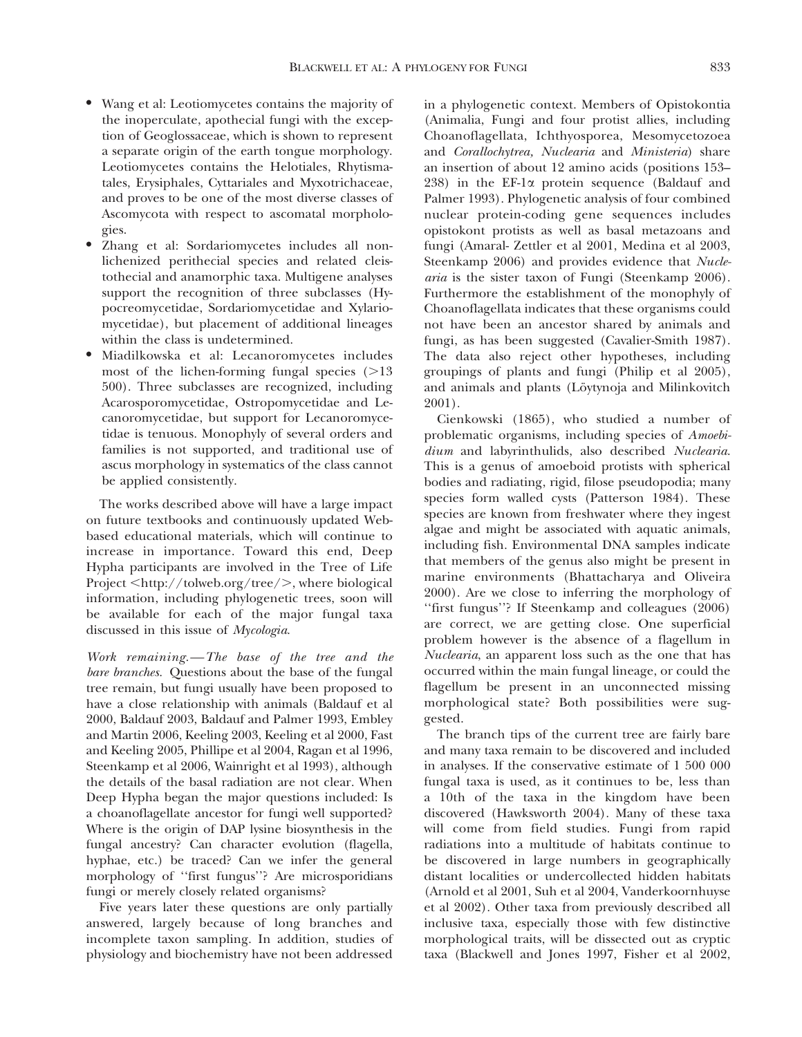- Wang et al: Leotiomycetes contains the majority of the inoperculate, apothecial fungi with the exception of Geoglossaceae, which is shown to represent a separate origin of the earth tongue morphology. Leotiomycetes contains the Helotiales, Rhytismatales, Erysiphales, Cyttariales and Myxotrichaceae, and proves to be one of the most diverse classes of Ascomycota with respect to ascomatal morphologies.
- Zhang et al: Sordariomycetes includes all nonlichenized perithecial species and related cleistothecial and anamorphic taxa. Multigene analyses support the recognition of three subclasses (Hypocreomycetidae, Sordariomycetidae and Xylariomycetidae), but placement of additional lineages within the class is undetermined.
- Miadilkowska et al: Lecanoromycetes includes most of the lichen-forming fungal species  $(>13$ 500). Three subclasses are recognized, including Acarosporomycetidae, Ostropomycetidae and Lecanoromycetidae, but support for Lecanoromycetidae is tenuous. Monophyly of several orders and families is not supported, and traditional use of ascus morphology in systematics of the class cannot be applied consistently.

The works described above will have a large impact on future textbooks and continuously updated Webbased educational materials, which will continue to increase in importance. Toward this end, Deep Hypha participants are involved in the Tree of Life Project <http://tolweb.org/tree/>, where biological information, including phylogenetic trees, soon will be available for each of the major fungal taxa discussed in this issue of Mycologia.

Work remaining.—The base of the tree and the bare branches. Questions about the base of the fungal tree remain, but fungi usually have been proposed to have a close relationship with animals (Baldauf et al 2000, Baldauf 2003, Baldauf and Palmer 1993, Embley and Martin 2006, Keeling 2003, Keeling et al 2000, Fast and Keeling 2005, Phillipe et al 2004, Ragan et al 1996, Steenkamp et al 2006, Wainright et al 1993), although the details of the basal radiation are not clear. When Deep Hypha began the major questions included: Is a choanoflagellate ancestor for fungi well supported? Where is the origin of DAP lysine biosynthesis in the fungal ancestry? Can character evolution (flagella, hyphae, etc.) be traced? Can we infer the general morphology of ''first fungus''? Are microsporidians fungi or merely closely related organisms?

Five years later these questions are only partially answered, largely because of long branches and incomplete taxon sampling. In addition, studies of physiology and biochemistry have not been addressed

in a phylogenetic context. Members of Opistokontia (Animalia, Fungi and four protist allies, including Choanoflagellata, Ichthyosporea, Mesomycetozoea and Corallochytrea, Nuclearia and Ministeria) share an insertion of about 12 amino acids (positions 153– 238) in the EF-1 $\alpha$  protein sequence (Baldauf and Palmer 1993). Phylogenetic analysis of four combined nuclear protein-coding gene sequences includes opistokont protists as well as basal metazoans and fungi (Amaral- Zettler et al 2001, Medina et al 2003, Steenkamp 2006) and provides evidence that *Nucle*aria is the sister taxon of Fungi (Steenkamp 2006). Furthermore the establishment of the monophyly of Choanoflagellata indicates that these organisms could not have been an ancestor shared by animals and fungi, as has been suggested (Cavalier-Smith 1987). The data also reject other hypotheses, including groupings of plants and fungi (Philip et al 2005), and animals and plants (Löytynoja and Milinkovitch 2001).

Cienkowski (1865), who studied a number of problematic organisms, including species of Amoebidium and labyrinthulids, also described Nuclearia. This is a genus of amoeboid protists with spherical bodies and radiating, rigid, filose pseudopodia; many species form walled cysts (Patterson 1984). These species are known from freshwater where they ingest algae and might be associated with aquatic animals, including fish. Environmental DNA samples indicate that members of the genus also might be present in marine environments (Bhattacharya and Oliveira 2000). Are we close to inferring the morphology of ''first fungus''? If Steenkamp and colleagues (2006) are correct, we are getting close. One superficial problem however is the absence of a flagellum in Nuclearia, an apparent loss such as the one that has occurred within the main fungal lineage, or could the flagellum be present in an unconnected missing morphological state? Both possibilities were suggested.

The branch tips of the current tree are fairly bare and many taxa remain to be discovered and included in analyses. If the conservative estimate of 1 500 000 fungal taxa is used, as it continues to be, less than a 10th of the taxa in the kingdom have been discovered (Hawksworth 2004). Many of these taxa will come from field studies. Fungi from rapid radiations into a multitude of habitats continue to be discovered in large numbers in geographically distant localities or undercollected hidden habitats (Arnold et al 2001, Suh et al 2004, Vanderkoornhuyse et al 2002). Other taxa from previously described all inclusive taxa, especially those with few distinctive morphological traits, will be dissected out as cryptic taxa (Blackwell and Jones 1997, Fisher et al 2002,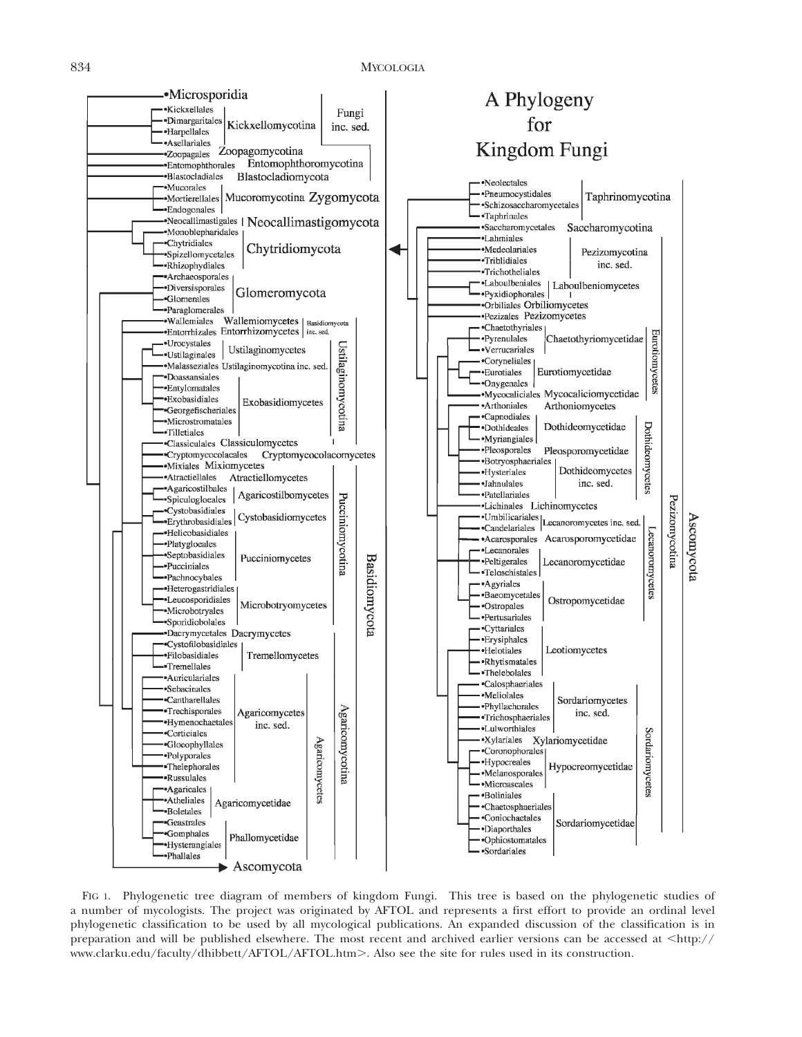

FIG 1. Phylogenetic tree diagram of members of kingdom Fungi. This tree is based on the phylogenetic studies of a number of mycologists. The project was originated by AFTOL and represents a first effort to provide an ordinal level phylogenetic classification to be used by all mycological publications. An expanded discussion of the classification is in preparation and will be published elsewhere. The most recent and archived earlier versions can be accessed at <http:// www.clarku.edu/faculty/dhibbett/AFTOL/AFTOL.htm>. Also see the site for rules used in its construction.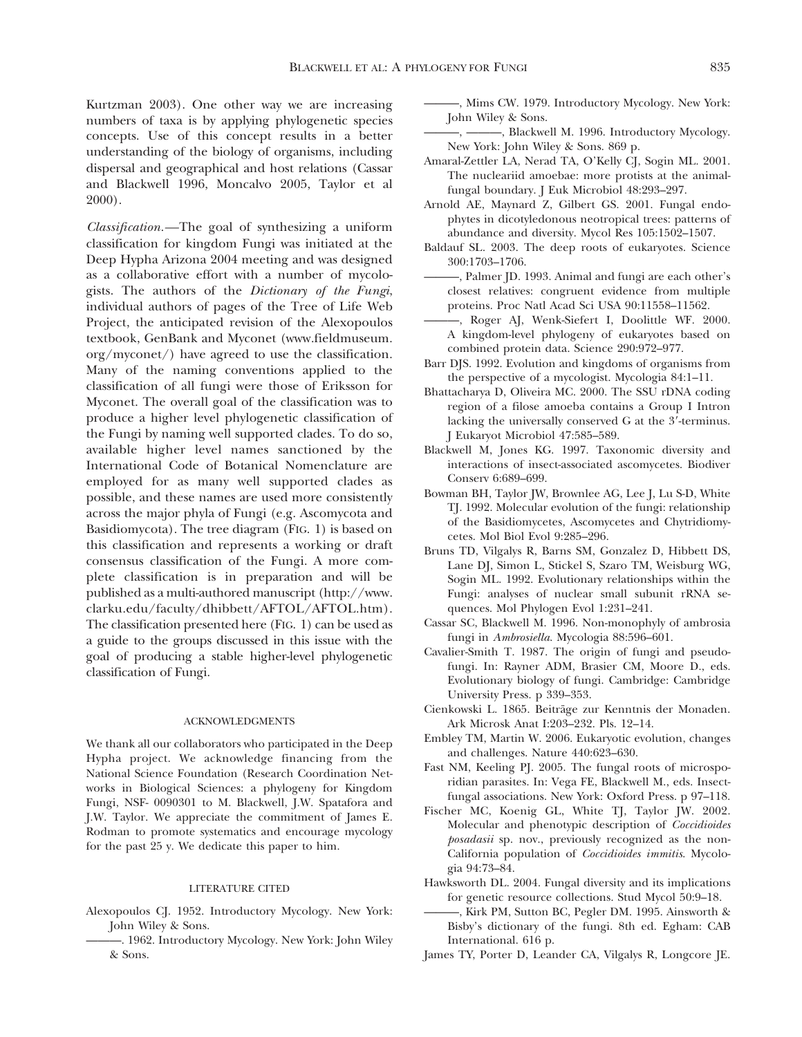Kurtzman 2003). One other way we are increasing numbers of taxa is by applying phylogenetic species concepts. Use of this concept results in a better understanding of the biology of organisms, including dispersal and geographical and host relations (Cassar and Blackwell 1996, Moncalvo 2005, Taylor et al 2000).

Classification.—The goal of synthesizing a uniform classification for kingdom Fungi was initiated at the Deep Hypha Arizona 2004 meeting and was designed as a collaborative effort with a number of mycologists. The authors of the Dictionary of the Fungi, individual authors of pages of the Tree of Life Web Project, the anticipated revision of the Alexopoulos textbook, GenBank and Myconet (www.fieldmuseum. org/myconet/) have agreed to use the classification. Many of the naming conventions applied to the classification of all fungi were those of Eriksson for Myconet. The overall goal of the classification was to produce a higher level phylogenetic classification of the Fungi by naming well supported clades. To do so, available higher level names sanctioned by the International Code of Botanical Nomenclature are employed for as many well supported clades as possible, and these names are used more consistently across the major phyla of Fungi (e.g. Ascomycota and Basidiomycota). The tree diagram (FIG. 1) is based on this classification and represents a working or draft consensus classification of the Fungi. A more complete classification is in preparation and will be published as a multi-authored manuscript (http://www. clarku.edu/faculty/dhibbett/AFTOL/AFTOL.htm). The classification presented here (FIG. 1) can be used as a guide to the groups discussed in this issue with the goal of producing a stable higher-level phylogenetic classification of Fungi.

### ACKNOWLEDGMENTS

We thank all our collaborators who participated in the Deep Hypha project. We acknowledge financing from the National Science Foundation (Research Coordination Networks in Biological Sciences: a phylogeny for Kingdom Fungi, NSF- 0090301 to M. Blackwell, J.W. Spatafora and J.W. Taylor. We appreciate the commitment of James E. Rodman to promote systematics and encourage mycology for the past 25 y. We dedicate this paper to him.

#### LITERATURE CITED

- Alexopoulos CJ. 1952. Introductory Mycology. New York: John Wiley & Sons.
	- ———. 1962. Introductory Mycology. New York: John Wiley & Sons.
- ———, Mims CW. 1979. Introductory Mycology. New York: John Wiley & Sons.
- -, ---, Blackwell M. 1996. Introductory Mycology. New York: John Wiley & Sons. 869 p.
- Amaral-Zettler LA, Nerad TA, O'Kelly CJ, Sogin ML. 2001. The nucleariid amoebae: more protists at the animalfungal boundary. J Euk Microbiol 48:293–297.
- Arnold AE, Maynard Z, Gilbert GS. 2001. Fungal endophytes in dicotyledonous neotropical trees: patterns of abundance and diversity. Mycol Res 105:1502–1507.
- Baldauf SL. 2003. The deep roots of eukaryotes. Science 300:1703–1706.
- ———, Palmer JD. 1993. Animal and fungi are each other's closest relatives: congruent evidence from multiple proteins. Proc Natl Acad Sci USA 90:11558–11562.
- ———, Roger AJ, Wenk-Siefert I, Doolittle WF. 2000. A kingdom-level phylogeny of eukaryotes based on combined protein data. Science 290:972–977.
- Barr DJS. 1992. Evolution and kingdoms of organisms from the perspective of a mycologist. Mycologia 84:1–11.
- Bhattacharya D, Oliveira MC. 2000. The SSU rDNA coding region of a filose amoeba contains a Group I Intron lacking the universally conserved G at the 3'-terminus. J Eukaryot Microbiol 47:585–589.
- Blackwell M, Jones KG. 1997. Taxonomic diversity and interactions of insect-associated ascomycetes. Biodiver Conserv 6:689–699.
- Bowman BH, Taylor JW, Brownlee AG, Lee J, Lu S-D, White TJ. 1992. Molecular evolution of the fungi: relationship of the Basidiomycetes, Ascomycetes and Chytridiomycetes. Mol Biol Evol 9:285–296.
- Bruns TD, Vilgalys R, Barns SM, Gonzalez D, Hibbett DS, Lane DJ, Simon L, Stickel S, Szaro TM, Weisburg WG, Sogin ML. 1992. Evolutionary relationships within the Fungi: analyses of nuclear small subunit rRNA sequences. Mol Phylogen Evol 1:231–241.
- Cassar SC, Blackwell M. 1996. Non-monophyly of ambrosia fungi in Ambrosiella. Mycologia 88:596–601.
- Cavalier-Smith T. 1987. The origin of fungi and pseudofungi. In: Rayner ADM, Brasier CM, Moore D., eds. Evolutionary biology of fungi. Cambridge: Cambridge University Press. p 339–353.
- Cienkowski L. 1865. Beiträge zur Kenntnis der Monaden. Ark Microsk Anat I:203–232. Pls. 12–14.
- Embley TM, Martin W. 2006. Eukaryotic evolution, changes and challenges. Nature 440:623–630.
- Fast NM, Keeling PJ. 2005. The fungal roots of microsporidian parasites. In: Vega FE, Blackwell M., eds. Insectfungal associations. New York: Oxford Press. p 97–118.
- Fischer MC, Koenig GL, White TJ, Taylor JW. 2002. Molecular and phenotypic description of Coccidioides posadasii sp. nov., previously recognized as the non-California population of Coccidioides immitis. Mycologia 94:73–84.
- Hawksworth DL. 2004. Fungal diversity and its implications for genetic resource collections. Stud Mycol 50:9–18.
- ———, Kirk PM, Sutton BC, Pegler DM. 1995. Ainsworth & Bisby's dictionary of the fungi. 8th ed. Egham: CAB International. 616 p.
- James TY, Porter D, Leander CA, Vilgalys R, Longcore JE.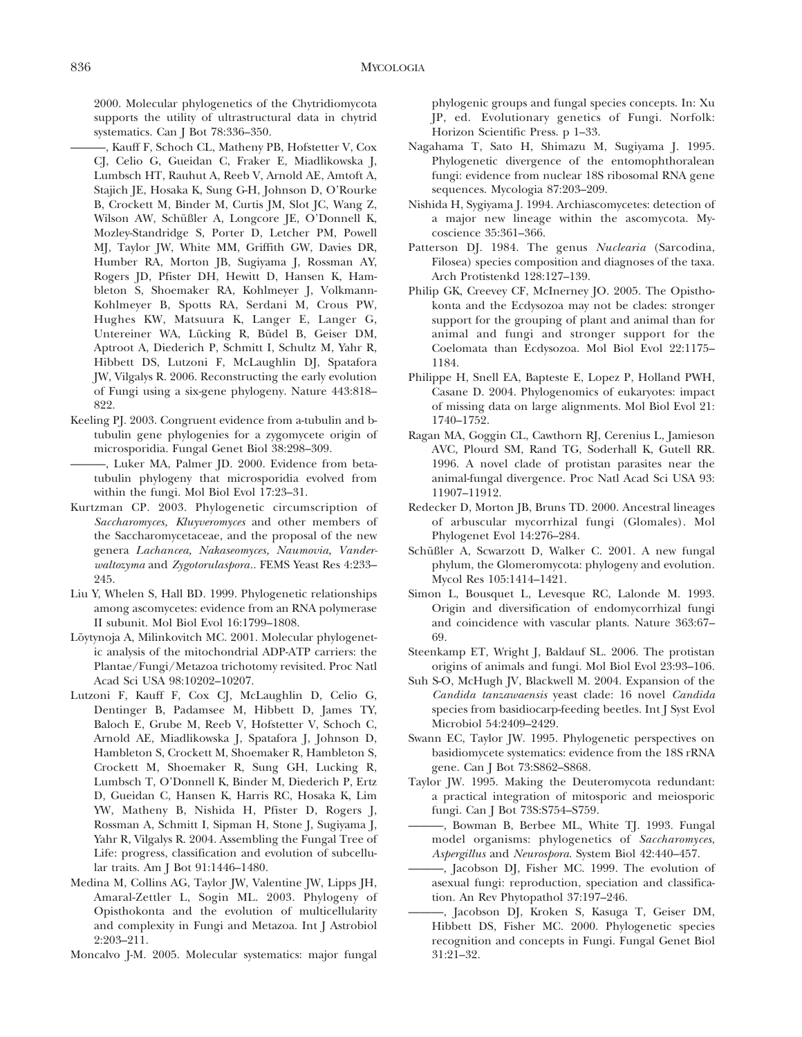2000. Molecular phylogenetics of the Chytridiomycota supports the utility of ultrastructural data in chytrid systematics. Can J Bot 78:336-350.

- ———, Kauff F, Schoch CL, Matheny PB, Hofstetter V, Cox CJ, Celio G, Gueidan C, Fraker E, Miadlikowska J, Lumbsch HT, Rauhut A, Reeb V, Arnold AE, Amtoft A, Stajich JE, Hosaka K, Sung G-H, Johnson D, O'Rourke B, Crockett M, Binder M, Curtis JM, Slot JC, Wang Z, Wilson AW, Schüßler A, Longcore JE, O'Donnell K, Mozley-Standridge S, Porter D, Letcher PM, Powell MJ, Taylor JW, White MM, Griffith GW, Davies DR, Humber RA, Morton JB, Sugiyama J, Rossman AY, Rogers JD, Pfister DH, Hewitt D, Hansen K, Hambleton S, Shoemaker RA, Kohlmeyer J, Volkmann-Kohlmeyer B, Spotts RA, Serdani M, Crous PW, Hughes KW, Matsuura K, Langer E, Langer G, Untereiner WA, Lücking R, Büdel B, Geiser DM, Aptroot A, Diederich P, Schmitt I, Schultz M, Yahr R, Hibbett DS, Lutzoni F, McLaughlin DJ, Spatafora JW, Vilgalys R. 2006. Reconstructing the early evolution of Fungi using a six-gene phylogeny. Nature 443:818– 822.
- Keeling PJ. 2003. Congruent evidence from a-tubulin and btubulin gene phylogenies for a zygomycete origin of microsporidia. Fungal Genet Biol 38:298–309.
- ———, Luker MA, Palmer JD. 2000. Evidence from betatubulin phylogeny that microsporidia evolved from within the fungi. Mol Biol Evol 17:23–31.
- Kurtzman CP. 2003. Phylogenetic circumscription of Saccharomyces, Kluyveromyces and other members of the Saccharomycetaceae, and the proposal of the new genera Lachancea, Nakaseomyces, Naumovia, Vanderwaltozyma and Zygotorulaspora.. FEMS Yeast Res 4:233– 245.
- Liu Y, Whelen S, Hall BD. 1999. Phylogenetic relationships among ascomycetes: evidence from an RNA polymerase II subunit. Mol Biol Evol 16:1799–1808.
- Löytynoja A, Milinkovitch MC. 2001. Molecular phylogenetic analysis of the mitochondrial ADP-ATP carriers: the Plantae/Fungi/Metazoa trichotomy revisited. Proc Natl Acad Sci USA 98:10202–10207.
- Lutzoni F, Kauff F, Cox CJ, McLaughlin D, Celio G, Dentinger B, Padamsee M, Hibbett D, James TY, Baloch E, Grube M, Reeb V, Hofstetter V, Schoch C, Arnold AE, Miadlikowska J, Spatafora J, Johnson D, Hambleton S, Crockett M, Shoemaker R, Hambleton S, Crockett M, Shoemaker R, Sung GH, Lucking R, Lumbsch T, O'Donnell K, Binder M, Diederich P, Ertz D, Gueidan C, Hansen K, Harris RC, Hosaka K, Lim YW, Matheny B, Nishida H, Pfister D, Rogers J, Rossman A, Schmitt I, Sipman H, Stone J, Sugiyama J, Yahr R, Vilgalys R. 2004. Assembling the Fungal Tree of Life: progress, classification and evolution of subcellular traits. Am J Bot 91:1446–1480.
- Medina M, Collins AG, Taylor JW, Valentine JW, Lipps JH, Amaral-Zettler L, Sogin ML. 2003. Phylogeny of Opisthokonta and the evolution of multicellularity and complexity in Fungi and Metazoa. Int J Astrobiol 2:203–211.
- Moncalvo J-M. 2005. Molecular systematics: major fungal

phylogenic groups and fungal species concepts. In: Xu JP, ed. Evolutionary genetics of Fungi. Norfolk: Horizon Scientific Press. p 1–33.

- Nagahama T, Sato H, Shimazu M, Sugiyama J. 1995. Phylogenetic divergence of the entomophthoralean fungi: evidence from nuclear 18S ribosomal RNA gene sequences. Mycologia 87:203–209.
- Nishida H, Sygiyama J. 1994. Archiascomycetes: detection of a major new lineage within the ascomycota. Mycoscience 35:361–366.
- Patterson DJ. 1984. The genus Nuclearia (Sarcodina, Filosea) species composition and diagnoses of the taxa. Arch Protistenkd 128:127–139.
- Philip GK, Creevey CF, McInerney JO. 2005. The Opisthokonta and the Ecdysozoa may not be clades: stronger support for the grouping of plant and animal than for animal and fungi and stronger support for the Coelomata than Ecdysozoa. Mol Biol Evol 22:1175– 1184.
- Philippe H, Snell EA, Bapteste E, Lopez P, Holland PWH, Casane D. 2004. Phylogenomics of eukaryotes: impact of missing data on large alignments. Mol Biol Evol 21: 1740–1752.
- Ragan MA, Goggin CL, Cawthorn RJ, Cerenius L, Jamieson AVC, Plourd SM, Rand TG, Soderhall K, Gutell RR. 1996. A novel clade of protistan parasites near the animal-fungal divergence. Proc Natl Acad Sci USA 93: 11907–11912.
- Redecker D, Morton JB, Bruns TD. 2000. Ancestral lineages of arbuscular mycorrhizal fungi (Glomales). Mol Phylogenet Evol 14:276–284.
- Schüßler A, Scwarzott D, Walker C. 2001. A new fungal phylum, the Glomeromycota: phylogeny and evolution. Mycol Res 105:1414–1421.
- Simon L, Bousquet L, Levesque RC, Lalonde M. 1993. Origin and diversification of endomycorrhizal fungi and coincidence with vascular plants. Nature 363:67– 69.
- Steenkamp ET, Wright J, Baldauf SL. 2006. The protistan origins of animals and fungi. Mol Biol Evol 23:93–106.
- Suh S-O, McHugh JV, Blackwell M. 2004. Expansion of the Candida tanzawaensis yeast clade: 16 novel Candida species from basidiocarp-feeding beetles. Int J Syst Evol Microbiol 54:2409–2429.
- Swann EC, Taylor JW. 1995. Phylogenetic perspectives on basidiomycete systematics: evidence from the 18S rRNA gene. Can J Bot 73:S862–S868.
- Taylor JW. 1995. Making the Deuteromycota redundant: a practical integration of mitosporic and meiosporic fungi. Can J Bot 73S:S754–S759.
- ———, Bowman B, Berbee ML, White TJ. 1993. Fungal model organisms: phylogenetics of Saccharomyces, Aspergillus and Neurospora. System Biol 42:440–457.
- ———, Jacobson DJ, Fisher MC. 1999. The evolution of asexual fungi: reproduction, speciation and classification. An Rev Phytopathol 37:197–246.
- ———, Jacobson DJ, Kroken S, Kasuga T, Geiser DM, Hibbett DS, Fisher MC. 2000. Phylogenetic species recognition and concepts in Fungi. Fungal Genet Biol 31:21–32.